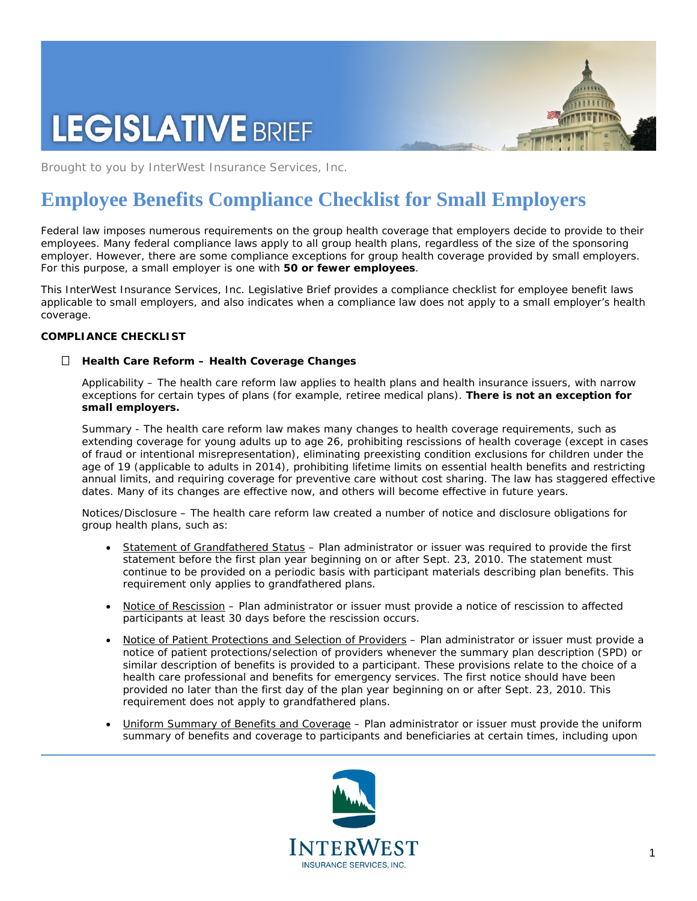# **LEGISLATIVE BRIEF**



Brought to you by InterWest Insurance Services, Inc.

# **Employee Benefits Compliance Checklist for Small Employers**

Federal law imposes numerous requirements on the group health coverage that employers decide to provide to their employees. Many federal compliance laws apply to all group health plans, regardless of the size of the sponsoring employer. However, there are some compliance exceptions for group health coverage provided by small employers. For this purpose, a small employer is one with **50 or fewer employees**.

This InterWest Insurance Services, Inc. Legislative Brief provides a compliance checklist for employee benefit laws applicable to small employers, and also indicates when a compliance law does not apply to a small employer's health coverage.

# **COMPLIANCE CHECKLIST**

# *Health Care Reform – Health Coverage Changes*

*Applicability –* The health care reform law applies to health plans and health insurance issuers, with narrow exceptions for certain types of plans (for example, retiree medical plans). **There is not an exception for small employers.** 

*Summary -* The health care reform law makes many changes to health coverage requirements, such as extending coverage for young adults up to age 26, prohibiting rescissions of health coverage (except in cases of fraud or intentional misrepresentation), eliminating preexisting condition exclusions for children under the age of 19 (applicable to adults in 2014), prohibiting lifetime limits on essential health benefits and restricting annual limits, and requiring coverage for preventive care without cost sharing. The law has staggered effective dates. Many of its changes are effective now, and others will become effective in future years.

*Notices/Disclosure –* The health care reform law created a number of notice and disclosure obligations for group health plans, such as:

- Statement of Grandfathered Status Plan administrator or issuer was required to provide the first statement before the first plan year beginning on or after Sept. 23, 2010. The statement must continue to be provided on a periodic basis with participant materials describing plan benefits. This requirement only applies to grandfathered plans.
- Notice of Rescission Plan administrator or issuer must provide a notice of rescission to affected participants at least 30 days before the rescission occurs.
- Notice of Patient Protections and Selection of Providers Plan administrator or issuer must provide a notice of patient protections/selection of providers whenever the summary plan description (SPD) or similar description of benefits is provided to a participant. These provisions relate to the choice of a health care professional and benefits for emergency services. The first notice should have been provided no later than the first day of the plan year beginning on or after Sept. 23, 2010. This requirement does not apply to grandfathered plans.
- Uniform Summary of Benefits and Coverage Plan administrator or issuer must provide the uniform summary of benefits and coverage to participants and beneficiaries at certain times, including upon

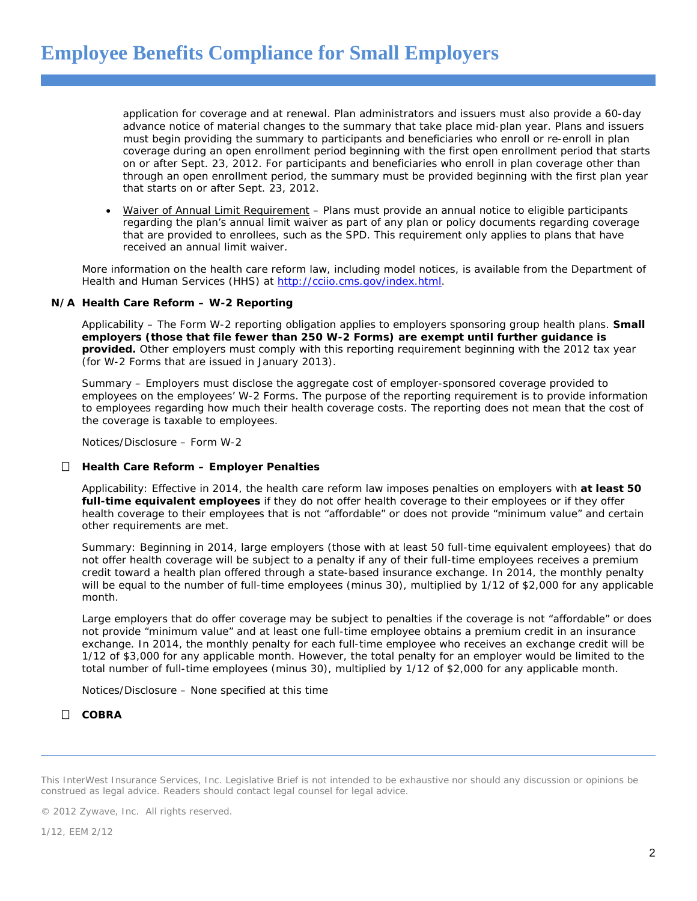application for coverage and at renewal. Plan administrators and issuers must also provide a 60-day advance notice of material changes to the summary that take place mid-plan year. Plans and issuers must begin providing the summary to participants and beneficiaries who enroll or re-enroll in plan coverage during an open enrollment period beginning with the first open enrollment period that starts on or after Sept. 23, 2012. For participants and beneficiaries who enroll in plan coverage other than through an open enrollment period, the summary must be provided beginning with the first plan year that starts on or after Sept. 23, 2012.

• Waiver of Annual Limit Requirement – Plans must provide an annual notice to eligible participants regarding the plan's annual limit waiver as part of any plan or policy documents regarding coverage that are provided to enrollees, such as the SPD. This requirement only applies to plans that have received an annual limit waiver.

More information on the health care reform law, including model notices, is available from the Department of Health and Human Services (HHS) at [http://cciio.cms.gov/index.html.](http://cciio.cms.gov/index.html)

#### *N/A Health Care Reform – W-2 Reporting*

*Applicability –* The Form W-2 reporting obligation applies to employers sponsoring group health plans. **Small employers (those that file fewer than 250 W-2 Forms) are exempt until further guidance is provided.** Other employers must comply with this reporting requirement beginning with the 2012 tax year (for W-2 Forms that are issued in January 2013).

*Summary –* Employers must disclose the aggregate cost of employer-sponsored coverage provided to employees on the employees' W-2 Forms. The purpose of the reporting requirement is to provide information to employees regarding how much their health coverage costs. The reporting does not mean that the cost of the coverage is taxable to employees.

*Notices/Disclosure –* Form W-2

#### *Health Care Reform – Employer Penalties*

*Applicability:* Effective in 2014, the health care reform law imposes penalties on employers with **at least 50 full-time equivalent employees** if they do not offer health coverage to their employees or if they offer health coverage to their employees that is not "affordable" or does not provide "minimum value" and certain other requirements are met.

*Summary:* Beginning in 2014, large employers (those with at least 50 full-time equivalent employees) that do not offer health coverage will be subject to a penalty if any of their full-time employees receives a premium credit toward a health plan offered through a state-based insurance exchange. In 2014, the monthly penalty will be equal to the number of full-time employees (minus 30), multiplied by 1/12 of \$2,000 for any applicable month.

Large employers that do offer coverage may be subject to penalties if the coverage is not "affordable" or does not provide "minimum value" and at least one full-time employee obtains a premium credit in an insurance exchange. In 2014, the monthly penalty for each full-time employee who receives an exchange credit will be 1/12 of \$3,000 for any applicable month. However, the total penalty for an employer would be limited to the total number of full-time employees (minus 30), multiplied by 1/12 of \$2,000 for any applicable month.

*Notices/Disclosure –* None specified at this time

# *COBRA*

This InterWest Insurance Services, Inc. Legislative Brief is not intended to be exhaustive nor should any discussion or opinions be construed as legal advice. Readers should contact legal counsel for legal advice.

© 2012 Zywave, Inc. All rights reserved.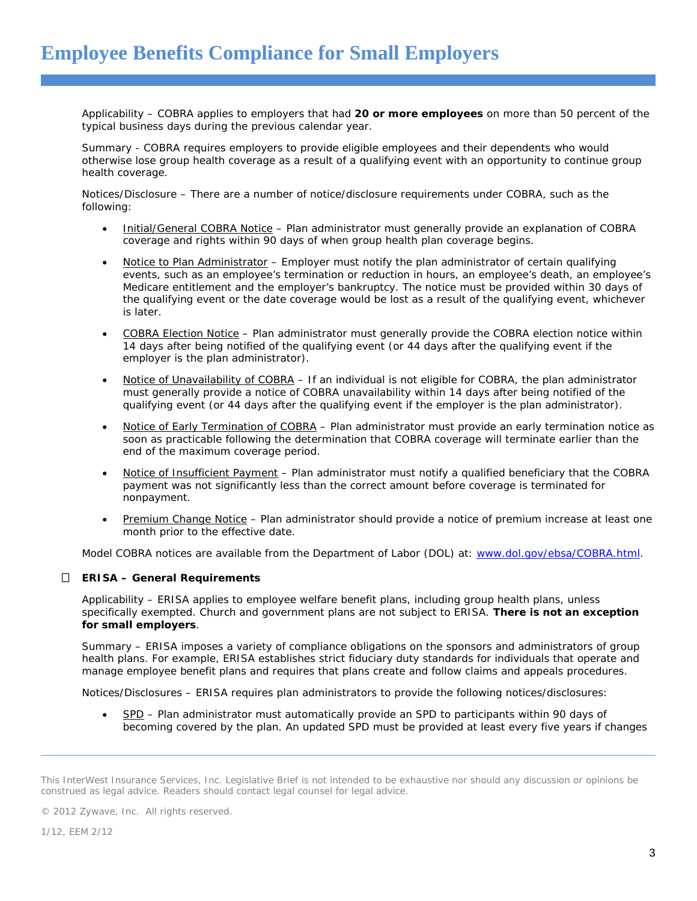*Applicability –* COBRA applies to employers that had **20 or more employees** on more than 50 percent of the typical business days during the previous calendar year.

*Summary -* COBRA requires employers to provide eligible employees and their dependents who would otherwise lose group health coverage as a result of a qualifying event with an opportunity to continue group health coverage.

*Notices/Disclosure –* There are a number of notice/disclosure requirements under COBRA, such as the following:

- Initial/General COBRA Notice Plan administrator must generally provide an explanation of COBRA coverage and rights within 90 days of when group health plan coverage begins.
- Notice to Plan Administrator Employer must notify the plan administrator of certain qualifying events, such as an employee's termination or reduction in hours, an employee's death, an employee's Medicare entitlement and the employer's bankruptcy. The notice must be provided within 30 days of the qualifying event or the date coverage would be lost as a result of the qualifying event, whichever is later.
- COBRA Election Notice Plan administrator must generally provide the COBRA election notice within 14 days after being notified of the qualifying event (or 44 days after the qualifying event if the employer is the plan administrator).
- Notice of Unavailability of COBRA If an individual is not eligible for COBRA, the plan administrator must generally provide a notice of COBRA unavailability within 14 days after being notified of the qualifying event (or 44 days after the qualifying event if the employer is the plan administrator).
- Notice of Early Termination of COBRA Plan administrator must provide an early termination notice as soon as practicable following the determination that COBRA coverage will terminate earlier than the end of the maximum coverage period.
- Notice of Insufficient Payment Plan administrator must notify a qualified beneficiary that the COBRA payment was not significantly less than the correct amount before coverage is terminated for nonpayment.
- Premium Change Notice Plan administrator should provide a notice of premium increase at least one month prior to the effective date.

Model COBRA notices are available from the Department of Labor (DOL) at: [www.dol.gov/ebsa/COBRA.html.](http://www.dol.gov/ebsa/COBRA.html)

# *ERISA – General Requirements*

*Applicability –* ERISA applies to employee welfare benefit plans, including group health plans, unless specifically exempted. Church and government plans are not subject to ERISA. **There is not an exception for small employers**.

*Summary –* ERISA imposes a variety of compliance obligations on the sponsors and administrators of group health plans. For example, ERISA establishes strict fiduciary duty standards for individuals that operate and manage employee benefit plans and requires that plans create and follow claims and appeals procedures.

*Notices/Disclosures –* ERISA requires plan administrators to provide the following notices/disclosures:

• SPD – Plan administrator must automatically provide an SPD to participants within 90 days of becoming covered by the plan. An updated SPD must be provided at least every five years if changes

© 2012 Zywave, Inc. All rights reserved.

This InterWest Insurance Services, Inc. Legislative Brief is not intended to be exhaustive nor should any discussion or opinions be construed as legal advice. Readers should contact legal counsel for legal advice.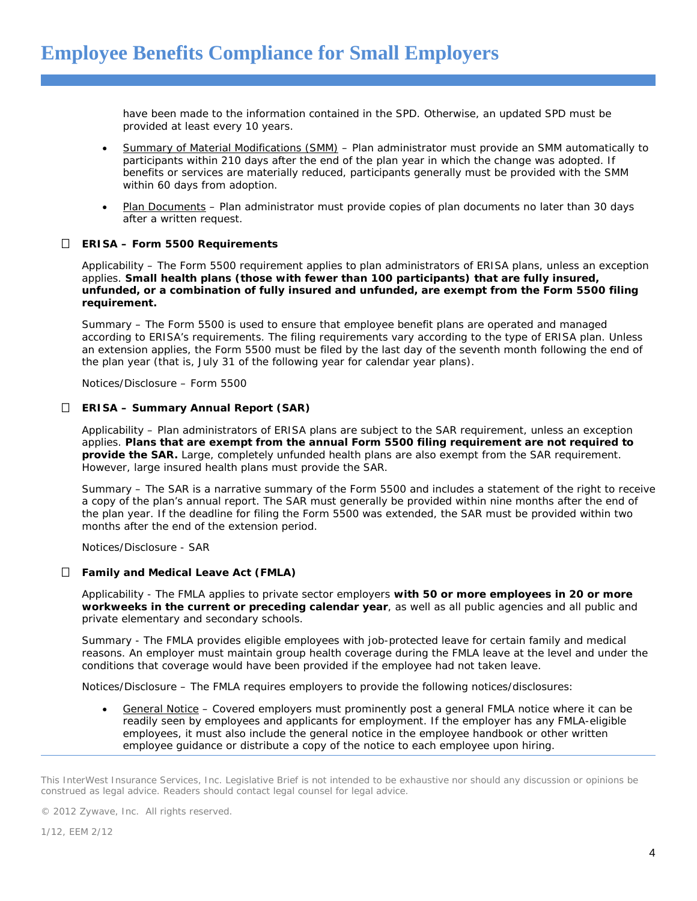have been made to the information contained in the SPD. Otherwise, an updated SPD must be provided at least every 10 years.

- Summary of Material Modifications (SMM) Plan administrator must provide an SMM automatically to participants within 210 days after the end of the plan year in which the change was adopted. If benefits or services are materially reduced, participants generally must be provided with the SMM within 60 days from adoption.
- Plan Documents Plan administrator must provide copies of plan documents no later than 30 days after a written request.

# *ERISA – Form 5500 Requirements*

*Applicability –* The Form 5500 requirement applies to plan administrators of ERISA plans, unless an exception applies. **Small health plans (those with fewer than 100 participants) that are fully insured, unfunded, or a combination of fully insured and unfunded, are exempt from the Form 5500 filing requirement.** 

*Summary –* The Form 5500 is used to ensure that employee benefit plans are operated and managed according to ERISA's requirements. The filing requirements vary according to the type of ERISA plan. Unless an extension applies, the Form 5500 must be filed by the last day of the seventh month following the end of the plan year (that is, July 31 of the following year for calendar year plans).

*Notices/Disclosure –* Form 5500

#### *ERISA – Summary Annual Report (SAR)*

*Applicability –* Plan administrators of ERISA plans are subject to the SAR requirement, unless an exception applies. **Plans that are exempt from the annual Form 5500 filing requirement are not required to provide the SAR.** Large, completely unfunded health plans are also exempt from the SAR requirement. However, large insured health plans must provide the SAR.

*Summary –* The SAR is a narrative summary of the Form 5500 and includes a statement of the right to receive a copy of the plan's annual report. The SAR must generally be provided within nine months after the end of the plan year. If the deadline for filing the Form 5500 was extended, the SAR must be provided within two months after the end of the extension period.

*Notices/Disclosure -* SAR

#### *Family and Medical Leave Act (FMLA)*

*Applicability -* The FMLA applies to private sector employers **with 50 or more employees in 20 or more workweeks in the current or preceding calendar year**, as well as all public agencies and all public and private elementary and secondary schools.

*Summary -* The FMLA provides eligible employees with job-protected leave for certain family and medical reasons. An employer must maintain group health coverage during the FMLA leave at the level and under the conditions that coverage would have been provided if the employee had not taken leave.

*Notices/Disclosure –* The FMLA requires employers to provide the following notices/disclosures:

• General Notice – Covered employers must prominently post a general FMLA notice where it can be readily seen by employees and applicants for employment. If the employer has any FMLA-eligible employees, it must also include the general notice in the employee handbook or other written employee guidance or distribute a copy of the notice to each employee upon hiring.

This InterWest Insurance Services, Inc. Legislative Brief is not intended to be exhaustive nor should any discussion or opinions be construed as legal advice. Readers should contact legal counsel for legal advice.

© 2012 Zywave, Inc. All rights reserved.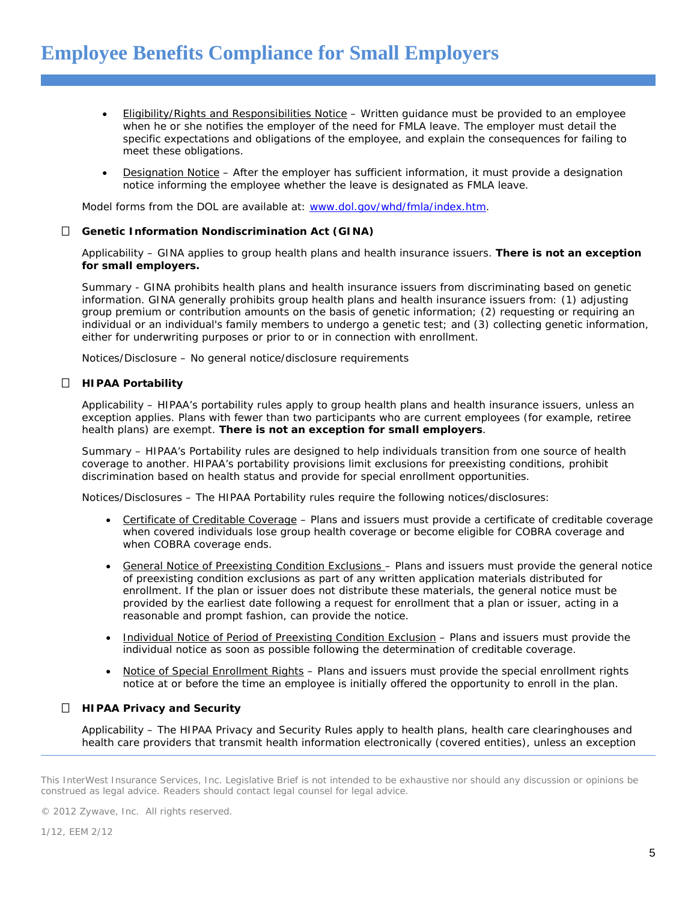- Eligibility/Rights and Responsibilities Notice Written guidance must be provided to an employee when he or she notifies the employer of the need for FMLA leave. The employer must detail the specific expectations and obligations of the employee, and explain the consequences for failing to meet these obligations.
- Designation Notice After the employer has sufficient information, it must provide a designation notice informing the employee whether the leave is designated as FMLA leave.

Model forms from the DOL are available at: [www.dol.gov/whd/fmla/index.htm.](http://www.dol.gov/whd/fmla/index.htm)

#### *Genetic Information Nondiscrimination Act (GINA)*

*Applicability –* GINA applies to group health plans and health insurance issuers. **There is not an exception for small employers.**

*Summary -* GINA prohibits health plans and health insurance issuers from discriminating based on genetic information. GINA generally prohibits group health plans and health insurance issuers from: (1) adjusting group premium or contribution amounts on the basis of genetic information; (2) requesting or requiring an individual or an individual's family members to undergo a genetic test; and (3) collecting genetic information, either for underwriting purposes or prior to or in connection with enrollment.

*Notices/Disclosure –* No general notice/disclosure requirements

#### *HIPAA Portability*

*Applicability –* HIPAA's portability rules apply to group health plans and health insurance issuers, unless an exception applies. Plans with fewer than two participants who are current employees (for example, retiree health plans) are exempt. **There is not an exception for small employers**.

*Summary –* HIPAA's Portability rules are designed to help individuals transition from one source of health coverage to another. HIPAA's portability provisions limit exclusions for preexisting conditions, prohibit discrimination based on health status and provide for special enrollment opportunities.

*Notices/Disclosures –* The HIPAA Portability rules require the following notices/disclosures:

- Certificate of Creditable Coverage Plans and issuers must provide a certificate of creditable coverage when covered individuals lose group health coverage or become eligible for COBRA coverage and when COBRA coverage ends.
- General Notice of Preexisting Condition Exclusions Plans and issuers must provide the general notice of preexisting condition exclusions as part of any written application materials distributed for enrollment. If the plan or issuer does not distribute these materials, the general notice must be provided by the earliest date following a request for enrollment that a plan or issuer, acting in a reasonable and prompt fashion, can provide the notice.
- Individual Notice of Period of Preexisting Condition Exclusion Plans and issuers must provide the individual notice as soon as possible following the determination of creditable coverage.
- Notice of Special Enrollment Rights Plans and issuers must provide the special enrollment rights notice at or before the time an employee is initially offered the opportunity to enroll in the plan.

# *HIPAA Privacy and Security*

*Applicability –* The HIPAA Privacy and Security Rules apply to health plans, health care clearinghouses and health care providers that transmit health information electronically (covered entities), unless an exception

© 2012 Zywave, Inc. All rights reserved.

This InterWest Insurance Services, Inc. Legislative Brief is not intended to be exhaustive nor should any discussion or opinions be construed as legal advice. Readers should contact legal counsel for legal advice.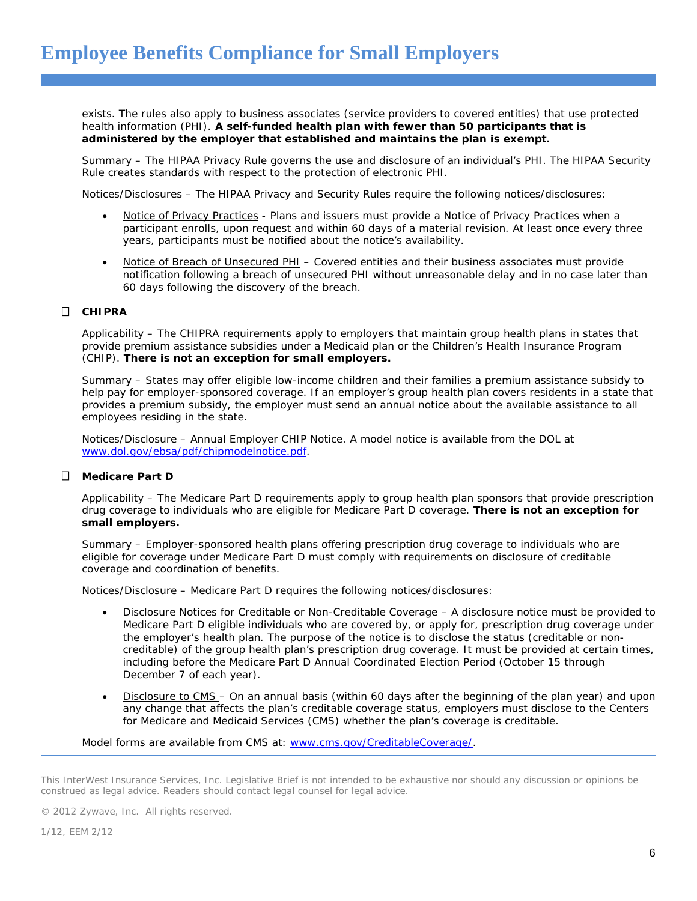exists. The rules also apply to business associates (service providers to covered entities) that use protected health information (PHI). **A self-funded health plan with fewer than 50 participants that is administered by the employer that established and maintains the plan is exempt.**

*Summary –* The HIPAA Privacy Rule governs the use and disclosure of an individual's PHI. The HIPAA Security Rule creates standards with respect to the protection of electronic PHI.

*Notices/Disclosures –* The HIPAA Privacy and Security Rules require the following notices/disclosures:

- Notice of Privacy Practices Plans and issuers must provide a Notice of Privacy Practices when a participant enrolls, upon request and within 60 days of a material revision. At least once every three years, participants must be notified about the notice's availability.
- Notice of Breach of Unsecured PHI Covered entities and their business associates must provide notification following a breach of unsecured PHI without unreasonable delay and in no case later than 60 days following the discovery of the breach.

# *CHIPRA*

*Applicability –* The CHIPRA requirements apply to employers that maintain group health plans in states that provide premium assistance subsidies under a Medicaid plan or the Children's Health Insurance Program (CHIP). **There is not an exception for small employers.**

*Summary –* States may offer eligible low-income children and their families a premium assistance subsidy to help pay for employer-sponsored coverage. If an employer's group health plan covers residents in a state that provides a premium subsidy, the employer must send an annual notice about the available assistance to all employees residing in the state.

*Notices/Disclosure –* Annual Employer CHIP Notice. A model notice is available from the DOL at [www.dol.gov/ebsa/pdf/chipmodelnotice.pdf.](http://www.dol.gov/ebsa/pdf/chipmodelnotice.pdf)

# *Medicare Part D*

*Applicability –* The Medicare Part D requirements apply to group health plan sponsors that provide prescription drug coverage to individuals who are eligible for Medicare Part D coverage. **There is not an exception for small employers.** 

*Summary –* Employer-sponsored health plans offering prescription drug coverage to individuals who are eligible for coverage under Medicare Part D must comply with requirements on disclosure of creditable coverage and coordination of benefits.

*Notices/Disclosure –* Medicare Part D requires the following notices/disclosures:

- Disclosure Notices for Creditable or Non-Creditable Coverage A disclosure notice must be provided to Medicare Part D eligible individuals who are covered by, or apply for, prescription drug coverage under the employer's health plan. The purpose of the notice is to disclose the status (creditable or noncreditable) of the group health plan's prescription drug coverage. It must be provided at certain times, including before the Medicare Part D Annual Coordinated Election Period (October 15 through December 7 of each year).
- Disclosure to CMS On an annual basis (within 60 days after the beginning of the plan year) and upon any change that affects the plan's creditable coverage status, employers must disclose to the Centers for Medicare and Medicaid Services (CMS) whether the plan's coverage is creditable.

Model forms are available from CMS at: [www.cms.gov/CreditableCoverage/.](http://www.cms.gov/CreditableCoverage/)

© 2012 Zywave, Inc. All rights reserved.

This InterWest Insurance Services, Inc. Legislative Brief is not intended to be exhaustive nor should any discussion or opinions be construed as legal advice. Readers should contact legal counsel for legal advice.